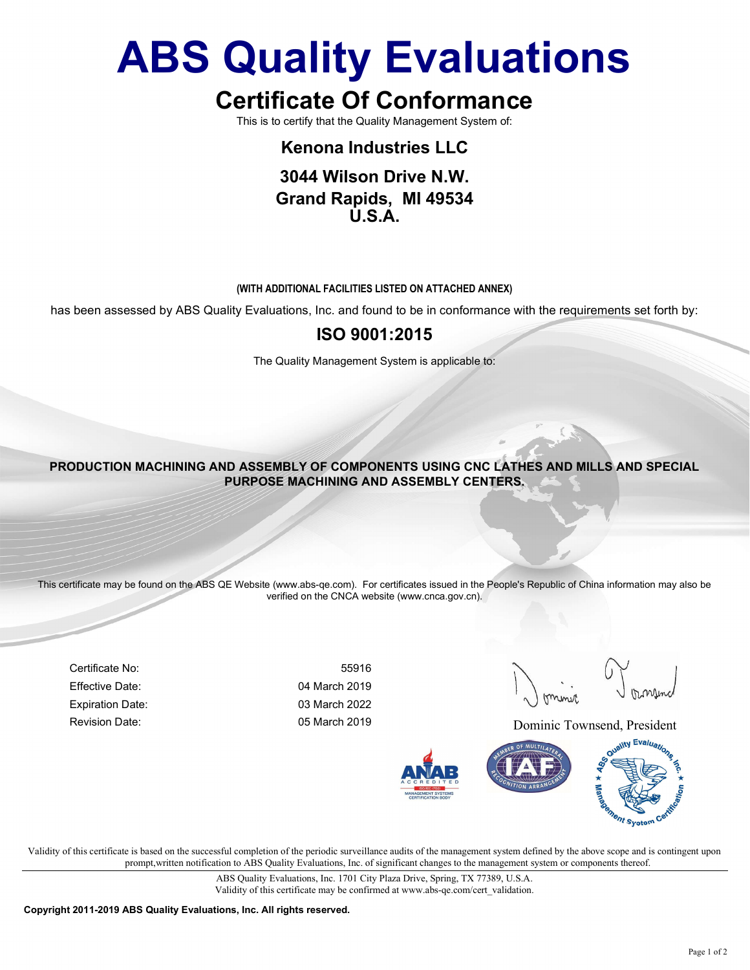# **ABS Quality Evaluations**

# **Certificate Of Conformance**

This is to certify that the Quality Management System of:

## **Kenona Industries LLC**

### **3044 Wilson Drive N.W. Grand Rapids, MI 49534 U.S.A.**

#### **(WITH ADDITIONAL FACILITIES LISTED ON ATTACHED ANNEX)**

has been assessed by ABS Quality Evaluations, Inc. and found to be in conformance with the requirements set forth by:

### **ISO 9001:2015**

The Quality Management System is applicable to:

**PRODUCTION MACHINING AND ASSEMBLY OF COMPONENTS USING CNC LATHES AND MILLS AND SPECIAL PURPOSE MACHINING AND ASSEMBLY CENTERS.**

This certificate may be found on the ABS QE Website (www.abs-qe.com). For certificates issued in the People's Republic of China information may also be verified on the CNCA website (www.cnca.gov.cn).

Certificate No: 55916 Effective Date: 04 March 2019 Expiration Date: 03 March 2022

Revision Date: Contract Communic Communic Townsend, President



Validity of this certificate is based on the successful completion of the periodic surveillance audits of the management system defined by the above scope and is contingent upon prompt,written notification to ABS Quality Evaluations, Inc. of significant changes to the management system or components thereof.

> ABS Quality Evaluations, Inc. 1701 City Plaza Drive, Spring, TX 77389, U.S.A. Validity of this certificate may be confirmed at www.abs-qe.com/cert\_validation.

**Copyright 2011-2019 ABS Quality Evaluations, Inc. All rights reserved.**